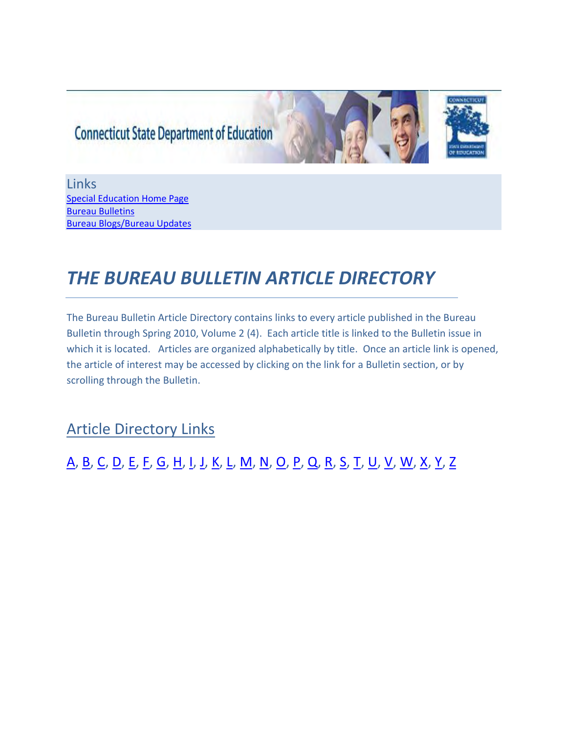# **Connecticut State Department of Education**



Links [Special Education Home Page](http://www.sde.ct.gov/sde/cwp/view.asp?a=2678&q=320730) [Bureau Bulletins](http://www.sde.ct.gov/sde/cwp/view.asp?a=2678&q=320720#Bulletins)  [Bureau Blogs/Bureau Updates](http://www.sde.ct.gov/sde/cwp/view.asp?a=2678&q=320720)

# *THE BUREAU BULLETIN ARTICLE DIRECTORY*

The Bureau Bulletin Article Directory contains links to every article published in the Bureau Bulletin through Spring 2010, Volume 2 (4). Each article title is linked to the Bulletin issue in which it is located. Articles are organized alphabetically by title. Once an article link is opened, the article of interest may be accessed by clicking on the link for a Bulletin section, or by scrolling through the Bulletin.

Article Directory Links

# [A,](#page-1-0) [B,](#page-2-0) [C,](#page-2-1) [D,](#page-3-0) [E,](#page-3-1) [F,](#page-4-0) [G,](#page-4-1) [H,](#page-4-2) [I,](#page-5-0) [J,](#page-5-1) [K,](#page-5-2) [L,](#page-5-3) [M,](#page-6-0) [N,](#page-6-1) [O,](#page-7-0) [P,](#page-7-1) [Q,](#page-7-2) [R,](#page-7-3) [S,](#page-8-0) [T,](#page-9-0) [U,](#page-10-0) [V,](#page-10-1) [W,](#page-10-2) [X,](#page-10-3) [Y,](#page-10-4) [Z](#page-10-5)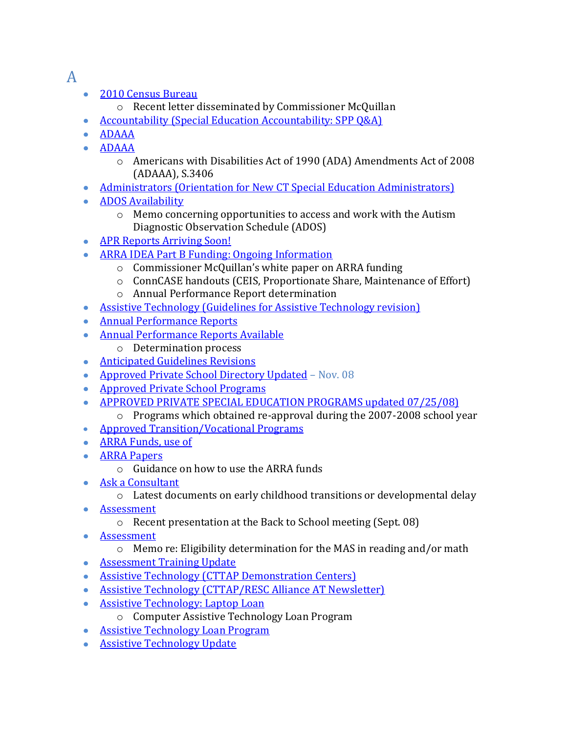## <span id="page-1-0"></span>A

- [2010 Census Bureau](http://www.sde.ct.gov/sde/lib/sde/PDF/DEPS/Special/Updates/BulletinMayJune2009.pdf)
	- o Recent letter disseminated by Commissioner McQuillan
- [Accountability \(Special Education Accountability: SPP Q&A\)](http://www.sde.ct.gov/sde/lib/sde/PDF/DEPS/Special/Updates/BulletinOctober2009.pdf)
- [ADAAA](http://www.sde.ct.gov/sde/lib/sde/PDF/DEPS/Special/Updates/BulletinMarch2009.pdf)
- [ADAAA](http://www.sde.ct.gov/sde/lib/sde/PDF/DEPS/Special/Updates/BulletinJanuary2009.pdf)
	- o Americans with Disabilities Act of 1990 (ADA) Amendments Act of 2008 (ADAAA), S.3406
- [Administrators \(Orientation for New CT Special Education Administrators\)](http://www.sde.ct.gov/sde/lib/sde/PDF/DEPS/Special/Updates/BulletinNovDec2009.pdf)
- **[ADOS Availability](http://www.sde.ct.gov/sde/lib/sde/PDF/DEPS/Special/Updates/BulletinOctober2008.pdf)** 
	- o Memo concerning opportunities to access and work with the Autism Diagnostic Observation Schedule (ADOS)
- [APR Reports Arriving Soon!](http://www.sde.ct.gov/sde/lib/sde/PDF/DEPS/Special/Updates/BulletinMarch2009.pdf)
- [ARRA IDEA Part B Funding: Ongoing Information](http://www.sde.ct.gov/sde/lib/sde/PDF/DEPS/Special/Updates/BulletinApril2009.pdf)
	- o Commissioner McQuillan's white paper on ARRA funding
	- o ConnCASE handouts (CEIS, Proportionate Share, Maintenance of Effort)
	- o Annual Performance Report determination
- [Assistive Technology \(Guidelines for Assistive Technology revision\)](http://www.sde.ct.gov/sde/lib/sde/PDF/DEPS/Special/Updates/BulletinNovDec2009.pdf)
- [Annual Performance Reports](http://www.sde.ct.gov/sde/lib/sde/PDF/DEPS/Special/Updates/BulletinJanuary2009.pdf)
- [Annual Performance Reports Available](http://www.sde.ct.gov/sde/lib/sde/PDF/DEPS/Special/Updates/BulletinApril2009.pdf) 
	- o Determination process
- **[Anticipated Guidelines Revisions](http://www.sde.ct.gov/sde/lib/sde/PDF/DEPS/Special/Updates/BulletinMayJune2009.pdf)**
- [Approved Private School Directory Updated](http://www.sde.ct.gov/sde/lib/sde/PDF/DEPS/Special/Updates/BulletinNovember2008.pdf) Nov. 08
- [Approved Private School Programs](http://www.sde.ct.gov/sde/lib/sde/PDF/DEPS/Special/Updates/BulletinOctober2008.pdf)
- [APPROVED PRIVATE SPECIAL EDUCATION PROGRAMS updated 07/25/08\)](http://www.sde.ct.gov/sde/lib/sde/PDF/DEPS/Special/Updates/BulletinSeptember2008.pdf)
	- o Programs which obtained re-approval during the 2007-2008 school year
- [Approved Transition/Vocational Programs](http://www.sde.ct.gov/sde/lib/sde/PDF/DEPS/Special/Updates/BulletinJanuary2009.pdf)
- [ARRA Funds, use of](http://www.sde.ct.gov/sde/lib/sde/PDF/DEPS/Special/Updates/BulletinSeptember2009.pdf)
- **ARRA Papers** 
	- o Guidance on how to use the ARRA funds
- [Ask a Consultant](http://www.sde.ct.gov/sde/lib/sde/PDF/DEPS/Special/Updates/BulletinMayJune2009.pdf)
	- o Latest documents on early childhood transitions or developmental delay
- [Assessment](http://www.sde.ct.gov/sde/lib/sde/PDF/DEPS/Special/Updates/BulletinSeptember2008.pdf)  $\bullet$ 
	- o Recent presentation at the Back to School meeting (Sept. 08)
- **•** [Assessment](http://www.sde.ct.gov/sde/lib/sde/PDF/DEPS/Special/Updates/BulletinOctober2008.pdf)
	- o Memo re: Eligibility determination for the MAS in reading and/or math
- [Assessment Training Update](http://www.sde.ct.gov/sde/lib/sde/PDF/DEPS/Special/Updates/BulletinNovDec2009.pdf)
- [Assistive Technology \(CTTAP Demonstration Centers\)](http://www.sde.ct.gov/sde/lib/sde/PDF/DEPS/Special/Updates/BulletinSpring2010.pdf)
- [Assistive Technology \(CTTAP/RESC Alliance AT Newsletter\)](http://www.sde.ct.gov/sde/lib/sde/PDF/DEPS/Special/Updates/BulletinSpring2010.pdf)
- [Assistive Technology: Laptop Loan](http://www.sde.ct.gov/sde/lib/sde/PDF/DEPS/Special/Updates/BulletinSeptember2008.pdf)
	- o Computer Assistive Technology Loan Program
- [Assistive Technology Loan Program](http://www.sde.ct.gov/sde/lib/sde/PDF/DEPS/Special/Updates/BulletinMarch2009.pdf)
- [Assistive Technology Update](http://www.sde.ct.gov/sde/lib/sde/PDF/DEPS/Special/Updates/BulletinSeptember2009.pdf)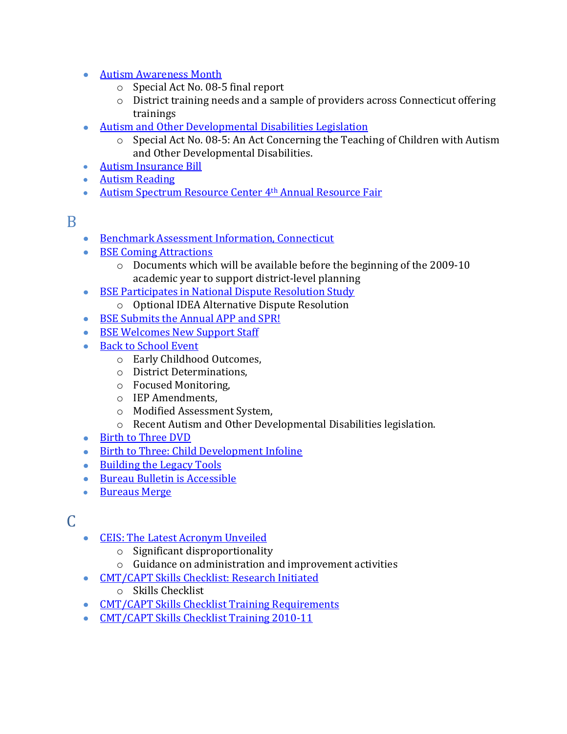- [Autism Awareness Month](http://www.sde.ct.gov/sde/lib/sde/PDF/DEPS/Special/Updates/BulletinApril2009.pdf) 
	- o Special Act No. 08‐5 final report
	- o District training needs and a sample of providers across Connecticut offering trainings
- [Autism and Other Developmental Disabilities Legislation](http://www.sde.ct.gov/sde/lib/sde/PDF/DEPS/Special/Updates/BulletinSeptember2008.pdf)
	- o Special Act No. 08‐5: An Act Concerning the Teaching of Children with Autism and Other Developmental Disabilities.
- [Autism Insurance Bill](http://www.sde.ct.gov/sde/lib/sde/PDF/DEPS/Special/Updates/BulletinSeptember2009.pdf)
- [Autism Reading](http://www.sde.ct.gov/sde/lib/sde/PDF/DEPS/Special/Updates/BulletinFebruary2009.pdf)
- [Autism Spectrum Resource Center 4](http://www.sde.ct.gov/sde/lib/sde/PDF/DEPS/Special/Updates/BulletinOctober2009.pdf)<sup>th</sup> Annual Resource Fair

### <span id="page-2-0"></span>B

- **[Benchmark Assessment Information, Connecticut](http://www.sde.ct.gov/sde/lib/sde/PDF/DEPS/Special/Updates/BulletinOctober2009.pdf)**
- [BSE Coming Attractions](http://www.sde.ct.gov/sde/lib/sde/PDF/DEPS/Special/Updates/BulletinApril2009.pdf)
	- o Documents which will be available before the beginning of the 2009‐10 academic year to support district‐level planning
- [BSE Participates in National Dispute Resolution Study](http://www.sde.ct.gov/sde/lib/sde/PDF/DEPS/Special/Updates/BulletinJanuary2009.pdf)  $\bullet$ 
	- o Optional IDEA Alternative Dispute Resolution
- [BSE Submits the Annual APP and SPR!](http://www.sde.ct.gov/sde/lib/sde/PDF/DEPS/Special/Updates/BulletinFebruary2009.pdf)
- [BSE Welcomes New Support Staff](http://www.sde.ct.gov/sde/lib/sde/PDF/DEPS/Special/Updates/BulletinNovember2008.pdf)
- [Back to School Event](http://www.sde.ct.gov/sde/lib/sde/PDF/DEPS/Special/Updates/BulletinSeptember2008.pdf)
	- o Early Childhood Outcomes,
	- o District Determinations,
	- o Focused Monitoring,
	- o IEP Amendments,
	- o Modified Assessment System,
	- o Recent Autism and Other Developmental Disabilities legislation.
- [Birth to Three DVD](http://www.sde.ct.gov/sde/lib/sde/PDF/DEPS/Special/Updates/BulletinSpring2010.pdf)
- [Birth to Three: Child Development Infoline](http://www.sde.ct.gov/sde/lib/sde/PDF/DEPS/Special/Updates/BulletinSeptember2009.pdf)
- [Building the Legacy Tools](http://www.sde.ct.gov/sde/lib/sde/PDF/DEPS/Special/Updates/BulletinOctober2008.pdf)
- [Bureau Bulletin is Accessible](http://www.sde.ct.gov/sde/lib/sde/PDF/DEPS/Special/Updates/BulletinMayJune2009.pdf)
- [Bureaus Merge](../../BrownJay/Bureau%20Bulletin/Indexes/•%09Bureau%20Bulletin%20is%20Accessible)  $\bullet$

### <span id="page-2-1"></span> $\mathcal{C}$

- [CEIS: The Latest Acronym Unveiled](http://www.sde.ct.gov/sde/lib/sde/PDF/DEPS/Special/Updates/BulletinSeptember2008.pdf)
	- o Significant disproportionality
	- o Guidance on administration and improvement activities
- [CMT/CAPT Skills Checklist: Research Initiated](http://www.sde.ct.gov/sde/lib/sde/PDF/DEPS/Special/Updates/BulletinFebruary2009.pdf)
	- o Skills Checklist
- [CMT/CAPT Skills Checklist Training Requirements](http://www.sde.ct.gov/sde/lib/sde/PDF/DEPS/Special/Updates/BulletinMayJune2009.pdf)
- [CMT/CAPT Skills Checklist Training 2010-11](http://www.sde.ct.gov/sde/lib/sde/PDF/DEPS/Special/Updates/BulletinSpring2010.pdf)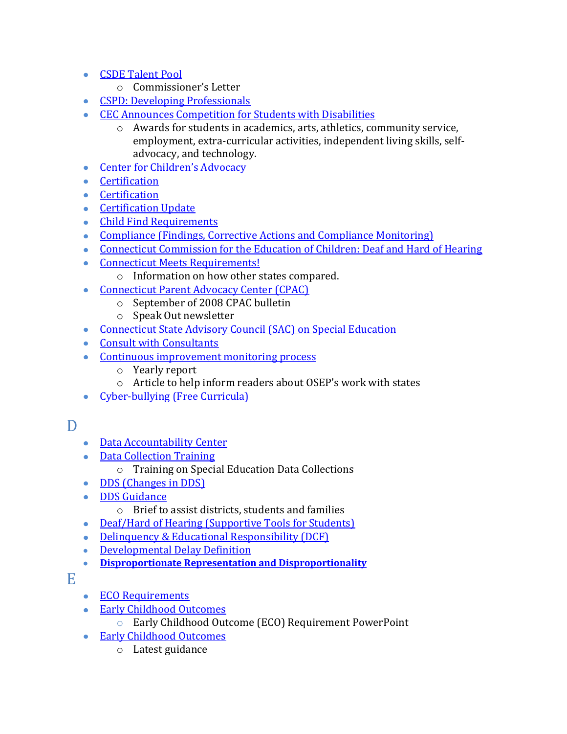- <span id="page-3-0"></span>[CSDE Talent Pool](http://www.sde.ct.gov/sde/lib/sde/PDF/DEPS/Special/Updates/BulletinApril2009.pdf)
	- o Commissioner's Letter
- [CSPD: Developing Professionals](http://www.sde.ct.gov/sde/lib/sde/PDF/DEPS/Special/Updates/BulletinFebruary2009.pdf)
- [CEC Announces Competition for Students with Disabilities](http://www.sde.ct.gov/sde/lib/sde/PDF/DEPS/Special/Updates/BulletinSeptember2009.pdf)
	- o Awards for students in academics, arts, athletics, community service, employment, extra-curricular activities, independent living skills, selfadvocacy, and technology.
- [Center for Children's Advocacy](http://www.sde.ct.gov/sde/lib/sde/PDF/DEPS/Special/Updates/BulletinFebruary2009.pdf)
- **•** [Certification](http://www.sde.ct.gov/sde/lib/sde/PDF/DEPS/Special/Updates/BulletinSeptember2009.pdf)
- [Certification](http://www.sde.ct.gov/sde/lib/sde/PDF/DEPS/Special/Updates/BulletinJanuary2009.pdf)
- [Certification Update](http://www.sde.ct.gov/sde/lib/sde/PDF/DEPS/Special/Updates/BulletinNovDec2009.pdf)
- [Child Find Requirements](http://www.sde.ct.gov/sde/lib/sde/PDF/DEPS/Special/Updates/BulletinNovember2008.pdf)
- [Compliance \(Findings, Corrective Actions and Compliance Monitoring\)](http://www.sde.ct.gov/sde/lib/sde/PDF/DEPS/Special/Updates/BulletinNovDec2009.pdf)
- [Connecticut Commission for the Education of Children: Deaf and Hard of Hearing](http://www.sde.ct.gov/sde/lib/sde/PDF/DEPS/Special/Updates/BulletinFebruary2009.pdf)
- [Connecticut Meets Requirements!](http://www.sde.ct.gov/sde/lib/sde/PDF/DEPS/Special/Updates/BulletinMayJune2009.pdf)
	- o Information on how other states compared.
- [Connecticut Parent Advocacy Center \(CPAC\)](http://www.sde.ct.gov/sde/lib/sde/PDF/DEPS/Special/Updates/BulletinJanuary2009.pdf)
	- o September of 2008 CPAC bulletin
	- o Speak Out newsletter
- [Connecticut State Advisory Council \(SAC\) on Special Education](http://www.sde.ct.gov/sde/lib/sde/PDF/DEPS/Special/Updates/BulletinNovember2008.pdf)
- [Consult with Consultants](http://www.sde.ct.gov/sde/lib/sde/PDF/DEPS/Special/Updates/BulletinApril2009.pdf)
- [Continuous improvement monitoring process](http://www.sde.ct.gov/sde/lib/sde/PDF/DEPS/Special/Updates/BulletinApril2009.pdf)
	- o Yearly report
	- o Article to help inform readers about OSEP's work with states
- [Cyber-bullying \(Free Curricula\)](http://www.sde.ct.gov/sde/lib/sde/PDF/DEPS/Special/Updates/BulletinNovDec2009.pdf)

### D

- [Data Accountability Center](http://www.sde.ct.gov/sde/lib/sde/PDF/DEPS/Special/Updates/BulletinOctober2009.pdf)
- [Data Collection Training](http://www.sde.ct.gov/sde/lib/sde/PDF/DEPS/Special/Updates/BulletinSummer2008.pdf)
	- o Training on Special Education Data Collections
- [DDS \(Changes in DDS\)](http://www.sde.ct.gov/sde/lib/sde/PDF/DEPS/Special/Updates/BulletinSpring2010.pdf)
- [DDS Guidance](http://www.sde.ct.gov/sde/lib/sde/PDF/DEPS/Special/Updates/BulletinSeptember2008.pdf)
	- o Brief to assist districts, students and families
- [Deaf/Hard of Hearing \(Supportive Tools for Students\)](http://www.sde.ct.gov/sde/lib/sde/PDF/DEPS/Special/Updates/BulletinSeptember2009.pdf)
- [Delinquency & Educational Responsibility \(DCF\)](http://www.sde.ct.gov/sde/lib/sde/PDF/DEPS/Special/Updates/BulletinSeptember2009.pdf)
- [Developmental Delay Definition](http://www.sde.ct.gov/sde/lib/sde/PDF/DEPS/Special/Updates/BulletinFebruary2009.pdf)
- **[Disproportionate Representation and Disproportionality](http://www.sde.ct.gov/sde/lib/sde/PDF/DEPS/Special/Updates/BulletinSpring2010.pdf)**

<span id="page-3-1"></span>E

- [ECO Requirements](http://www.sde.ct.gov/sde/lib/sde/PDF/DEPS/Special/Updates/BulletinMayJune2009.pdf)
- [Early Childhood Outcomes](http://www.sde.ct.gov/sde/lib/sde/PDF/DEPS/Special/Updates/BulletinSeptember2008.pdf)
	- o Early Childhood Outcome (ECO) Requirement PowerPoint
- [Early Childhood Outcomes](http://www.sde.ct.gov/sde/lib/sde/PDF/DEPS/Special/Updates/BulletinApril2009.pdf)
	- o Latest guidance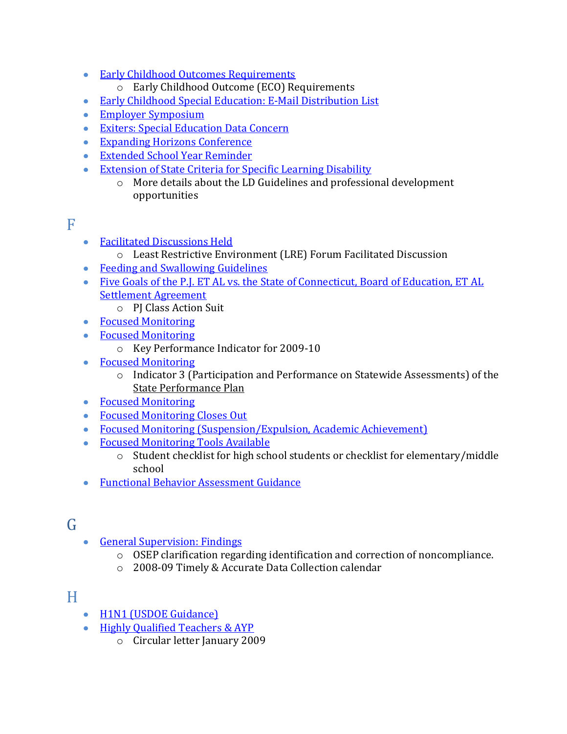- [Early Childhood Outcomes Requirements](http://www.sde.ct.gov/sde/lib/sde/PDF/DEPS/Special/Updates/BulletinSummer2008.pdf)
	- o Early Childhood Outcome (ECO) Requirements
- [Early Childhood Special Education: E-Mail Distribution List](http://www.sde.ct.gov/sde/lib/sde/PDF/DEPS/Special/Updates/BulletinMarch2009.pdf)
- [Employer Symposium](http://www.sde.ct.gov/sde/lib/sde/PDF/DEPS/Special/Updates/BulletinMarch2009.pdf)
- **[Exiters: Special Education Data Concern](http://www.sde.ct.gov/sde/lib/sde/PDF/DEPS/Special/Updates/BulletinMarch2009.pdf)**
- [Expanding Horizons Conference](http://www.sde.ct.gov/sde/lib/sde/PDF/DEPS/Special/Updates/BulletinNovember2008.pdf)
- [Extended School Year Reminder](http://www.sde.ct.gov/sde/lib/sde/PDF/DEPS/Special/Updates/BulletinApril2009.pdf)
- **[Extension of State Criteria for Specific Learning Disability](http://www.sde.ct.gov/sde/lib/sde/PDF/DEPS/Special/Updates/BulletinMayJune2009.pdf)** 
	- o More details about the LD Guidelines and professional development opportunities

### <span id="page-4-0"></span>F

- [Facilitated Discussions Held](http://www.sde.ct.gov/sde/lib/sde/PDF/DEPS/Special/Updates/BulletinSummer2008.pdf)
	- o Least Restrictive Environment (LRE) Forum Facilitated Discussion
- [Feeding and Swallowing Guidelines](http://www.sde.ct.gov/sde/lib/sde/PDF/DEPS/Special/Updates/BulletinSummer2008.pdf)
- Five Goals of the P.I. ET AL vs. the State of Connecticut, Board of Education, ET AL [Settlement Agreement](http://www.sde.ct.gov/sde/lib/sde/PDF/DEPS/Special/Updates/BulletinSeptember2008.pdf) 
	- o PJ Class Action Suit
- [Focused Monitoring](http://www.sde.ct.gov/sde/lib/sde/PDF/DEPS/Special/Updates/BulletinSeptember2008.pdf)
- [Focused Monitoring](http://www.sde.ct.gov/sde/lib/sde/PDF/DEPS/Special/Updates/BulletinOctober2009.pdf)
	- o Key Performance Indicator for 2009-10
- [Focused Monitoring](http://www.sde.ct.gov/sde/lib/sde/PDF/DEPS/Special/Updates/BulletinOctober2008.pdf)
	- o Indicator 3 (Participation and Performance on Statewide Assessments) of the State Performance Plan
- [Focused Monitoring](http://www.sde.ct.gov/sde/lib/sde/PDF/DEPS/Special/Updates/BulletinJanuary2009.pdf)
- [Focused Monitoring Closes Out](http://www.sde.ct.gov/sde/lib/sde/PDF/DEPS/Special/Updates/BulletinMayJune2009.pdf)
- [Focused Monitoring \(Suspension/Expulsion, Academic Achievement\)](http://www.sde.ct.gov/sde/lib/sde/PDF/DEPS/Special/Updates/BulletinSpring2010.pdf)
- [Focused Monitoring Tools Available](http://www.sde.ct.gov/sde/lib/sde/PDF/DEPS/Special/Updates/BulletinMarch2009.pdf)
	- o Student checklist for high school students or checklist for elementary/middle school
- [Functional Behavior Assessment Guidance](http://www.sde.ct.gov/sde/lib/sde/PDF/DEPS/Special/Updates/BulletinFebruary2009.pdf)

# <span id="page-4-1"></span>G

- [General Supervision: Findings](http://www.sde.ct.gov/sde/lib/sde/PDF/DEPS/Special/Updates/BulletinSeptember2008.pdf)
	- $\circ$  OSEP clarification regarding identification and correction of noncompliance.
	- o 2008‐09 Timely & Accurate Data Collection calendar

## <span id="page-4-2"></span>H

- [H1N1 \(USDOE Guidance\)](http://www.sde.ct.gov/sde/lib/sde/PDF/DEPS/Special/Updates/BulletinOctober2009.pdf)
- [Highly Qualified Teachers & AYP](http://www.sde.ct.gov/sde/lib/sde/PDF/DEPS/Special/Updates/BulletinMarch2009.pdf)
	- o Circular letter January 2009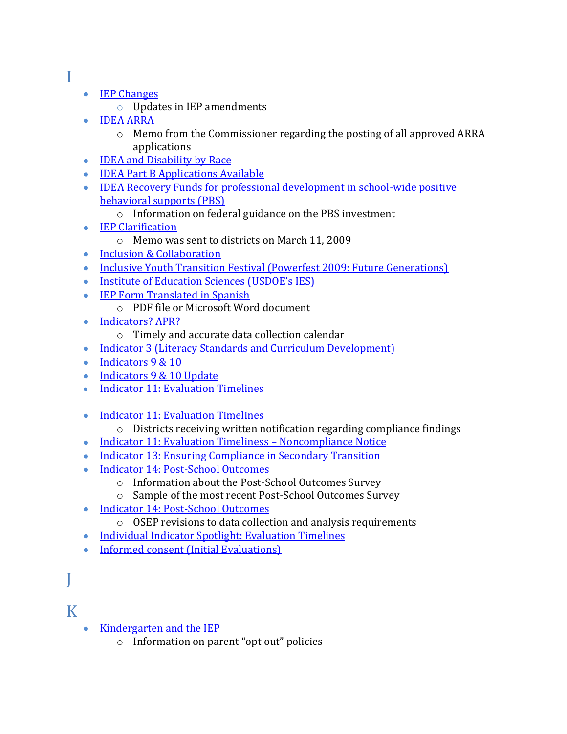- <span id="page-5-0"></span>I
- **[IEP Changes](http://www.sde.ct.gov/sde/lib/sde/PDF/DEPS/Special/Updates/BulletinSeptember2008.pdf)** 
	- o Updates in IEP amendments
- [IDEA ARRA](http://www.sde.ct.gov/sde/lib/sde/PDF/DEPS/Special/Updates/BulletinMayJune2009.pdf)
	- o Memo from the Commissioner regarding the posting of all approved ARRA applications
- [IDEA and Disability by Race](http://www.sde.ct.gov/sde/lib/sde/PDF/DEPS/Special/Updates/BulletinSummer2008.pdf)
- **[IDEA Part B Applications Available](http://www.sde.ct.gov/sde/lib/sde/PDF/DEPS/Special/Updates/BulletinMarch2009.pdf)**
- [IDEA Recovery Funds for professional development in school](http://www.sde.ct.gov/sde/lib/sde/PDF/DEPS/Special/Updates/BulletinApril2009.pdf)-wide positive [behavioral supports \(PBS\)](http://www.sde.ct.gov/sde/lib/sde/PDF/DEPS/Special/Updates/BulletinApril2009.pdf)
	- o Information on federal guidance on the PBS investment
- **[IEP Clarification](http://www.sde.ct.gov/sde/lib/sde/PDF/DEPS/Special/Updates/BulletinMarch2009.pdf)** 
	- o Memo was sent to districts on March 11, 2009
- [Inclusion & Collaboration](http://www.sde.ct.gov/sde/lib/sde/PDF/DEPS/Special/Updates/BulletinOctober2009.pdf)
- [Inclusive Youth Transition Festival \(Powerfest 2009: Future Generations\)](http://www.sde.ct.gov/sde/lib/sde/PDF/DEPS/Special/Updates/BulletinSeptember2009.pdf)
- [Institute of Education Sciences \(USDOE's IES\)](http://www.sde.ct.gov/sde/lib/sde/PDF/DEPS/Special/Updates/BulletinOctober2009.pdf)
- [IEP Form Translated in Spanish](http://www.sde.ct.gov/sde/lib/sde/PDF/DEPS/Special/Updates/BulletinMayJune2009.pdf)
	- o PDF file or Microsoft Word document
- [Indicators? APR?](http://www.sde.ct.gov/sde/lib/sde/PDF/DEPS/Special/Updates/BulletinSeptember2008.pdf)
	- o Timely and accurate data collection calendar
- [Indicator 3 \(Literacy Standards and Curriculum Development\)](http://www.sde.ct.gov/sde/lib/sde/PDF/DEPS/Special/Updates/BulletinSpring2010.pdf)
- $\bullet$  [Indicators 9 & 10](http://www.sde.ct.gov/sde/lib/sde/PDF/DEPS/Special/Updates/BulletinSeptember2009.pdf)
- [Indicators 9 & 10 Update](http://www.sde.ct.gov/sde/lib/sde/PDF/DEPS/Special/Updates/BulletinOctober2009.pdf)
- [Indicator 11: Evaluation Timelines](http://www.sde.ct.gov/sde/lib/sde/PDF/DEPS/Special/Updates/BulletinSeptember2008.pdf)
- [Indicator 11: Evaluation Timelines](http://www.sde.ct.gov/sde/lib/sde/PDF/DEPS/Special/Updates/BulletinOctober2009.pdf)
	- o Districts receiving written notification regarding compliance findings
- [Indicator 11: Evaluation Timeliness](http://www.sde.ct.gov/sde/lib/sde/PDF/DEPS/Special/Updates/BulletinFebruary2009.pdf)  Noncompliance Notice
- [Indicator 13: Ensuring Compliance in Secondary Transition](http://www.sde.ct.gov/sde/lib/sde/PDF/DEPS/Special/Updates/BulletinSpring2010.pdf)
- Indicator 14: Post-School Outcomes
	- o Information about the Post‐School Outcomes Survey
	- o Sample of the most recent Post‐School Outcomes Survey
- [Indicator 14: Post-School Outcomes](http://www.sde.ct.gov/sde/lib/sde/PDF/DEPS/Special/Updates/BulletinSeptember2009.pdf)
	- o OSEP revisions to data collection and analysis requirements
- [Individual Indicator Spotlight: Evaluation Timelines](http://www.sde.ct.gov/sde/lib/sde/PDF/DEPS/Special/Updates/BulletinMayJune2009.pdf)
- [Informed consent \(Initial Evaluations\)](http://www.sde.ct.gov/sde/lib/sde/PDF/DEPS/Special/Updates/BulletinSeptember2009.pdf)

# <span id="page-5-1"></span>J

## <span id="page-5-2"></span>K

- <span id="page-5-3"></span>• [Kindergarten and the IEP](http://www.sde.ct.gov/sde/lib/sde/PDF/DEPS/Special/Updates/BulletinMayJune2009.pdf)
	- o Information on parent "opt out" policies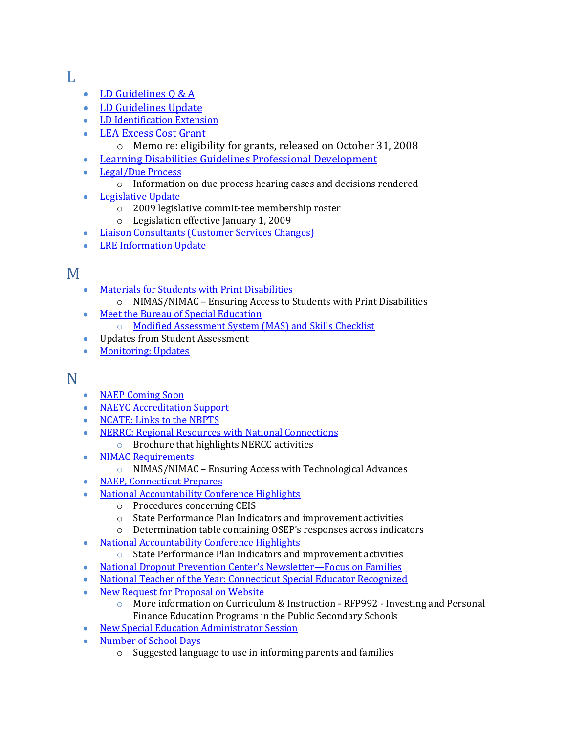#### L

- [LD Guidelines Q & A](http://www.sde.ct.gov/sde/lib/sde/PDF/DEPS/Special/Updates/BulletinNovDec2009.pdf)
- [LD Guidelines Update](http://www.sde.ct.gov/sde/lib/sde/PDF/DEPS/Special/Updates/BulletinJanuary2009.pdf)
- [LD Identification Extension](http://www.sde.ct.gov/sde/lib/sde/PDF/DEPS/Special/Updates/BulletinSeptember2009.pdf)
- **[LEA Excess Cost Grant](http://www.sde.ct.gov/sde/lib/sde/PDF/DEPS/Special/Updates/BulletinOctober2008.pdf)** 
	- o Memo re: eligibility for grants, released on October 31, 2008
- [Learning Disabilities Guidelines Professional Development](http://www.sde.ct.gov/sde/lib/sde/PDF/DEPS/Special/Updates/BulletinNovember2008.pdf)
- [Legal/Due Process](http://www.sde.ct.gov/sde/lib/sde/PDF/DEPS/Special/Updates/BulletinOctober2008.pdf)
	- o Information on due process hearing cases and decisions rendered
- **•** [Legislative Update](http://www.sde.ct.gov/sde/lib/sde/PDF/DEPS/Special/Updates/BulletinJanuary2009.pdf)
	- o 2009 legislative commit‐tee membership roster
	- o Legislation effective January 1, 2009
- [Liaison Consultants \(Customer Services Changes\)](http://www.sde.ct.gov/sde/lib/sde/PDF/DEPS/Special/Updates/BulletinNovDec2009.pdf)
- [LRE Information Update](http://www.sde.ct.gov/sde/lib/sde/PDF/DEPS/Special/Updates/BulletinSpring2010.pdf)

# <span id="page-6-0"></span>M

- $\bullet$ [Materials for Students with Print Disabilities](http://www.sde.ct.gov/sde/lib/sde/PDF/DEPS/Special/Updates/BulletinMayJune2009.pdf)
	- o NIMAS/NIMAC Ensuring Access to Students with Print Disabilities
- [Meet the Bureau of Special Education](http://www.sde.ct.gov/sde/lib/sde/PDF/DEPS/Special/Updates/BulletinFebruary2009.pdf)  $\bullet$ 
	- o [Modified Assessment System \(MAS\) and Skills Checklist](http://www.sde.ct.gov/sde/lib/sde/PDF/DEPS/Special/Updates/BulletinSummer2008.pdf)
- Updates from Student Assessment
- [Monitoring: Updates](http://www.sde.ct.gov/sde/lib/sde/PDF/DEPS/Special/Updates/BulletinNovember2008.pdf)

## <span id="page-6-1"></span>N

- [NAEP Coming Soon](http://www.sde.ct.gov/sde/lib/sde/PDF/DEPS/Special/Updates/BulletinMayJune2009.pdf)
- [NAEYC Accreditation Support](http://www.sde.ct.gov/sde/lib/sde/PDF/DEPS/Special/Updates/BulletinMarch2009.pdf)
- [NCATE: Links to the NBPTS](http://www.sde.ct.gov/sde/lib/sde/PDF/DEPS/Special/Updates/BulletinMarch2009.pdf)
- [NERRC: Regional Resources with National Connections](http://www.sde.ct.gov/sde/lib/sde/PDF/DEPS/Special/Updates/BulletinMarch2009.pdf)
	- o Brochure that highlights NERCC activities
- [NIMAC Requirements](http://www.sde.ct.gov/sde/lib/sde/PDF/DEPS/Special/Updates/BulletinSummer2008.pdf)
	- o NIMAS/NIMAC Ensuring Access with Technological Advances
- [NAEP, Connecticut Prepares](http://www.sde.ct.gov/sde/lib/sde/PDF/DEPS/Special/Updates/BulletinOctober2009.pdf)
- [National Accountability Conference Highlights](http://www.sde.ct.gov/sde/lib/sde/PDF/DEPS/Special/Updates/BulletinSeptember2008.pdf)
	- o Procedures concerning CEIS
	- o State Performance Plan Indicators and improvement activities
	- o Determination table containing OSEP's responses across indicators
- [National Accountability Conference Highlights](http://www.sde.ct.gov/sde/lib/sde/PDF/DEPS/Special/Updates/BulletinSeptember2008.pdf)
	- o State Performance Plan Indicators and improvement activities
- [National Dropout Prevention Center's Newsletter—](http://www.sde.ct.gov/sde/lib/sde/PDF/DEPS/Special/Updates/BulletinNovember2008.pdf)Focus on Families
- [National Teacher of the Year: Connecticut Special Educator Recognized](http://www.sde.ct.gov/sde/lib/sde/PDF/DEPS/Special/Updates/BulletinApril2009.pdf)
- [New Request for Proposal on Website](http://www.sde.ct.gov/sde/lib/sde/PDF/DEPS/Special/Updates/BulletinMayJune2009.pdf)
	- o More information on Curriculum & Instruction ‐ RFP992 ‐ Investing and Personal Finance Education Programs in the Public Secondary Schools
- [New Special Education Administrator Session](http://www.sde.ct.gov/sde/lib/sde/PDF/DEPS/Special/Updates/BulletinOctober2008.pdf)
- [Number of School Days](http://www.sde.ct.gov/sde/lib/sde/PDF/DEPS/Special/Updates/BulletinMayJune2009.pdf)
	- o Suggested language to use in informing parents and families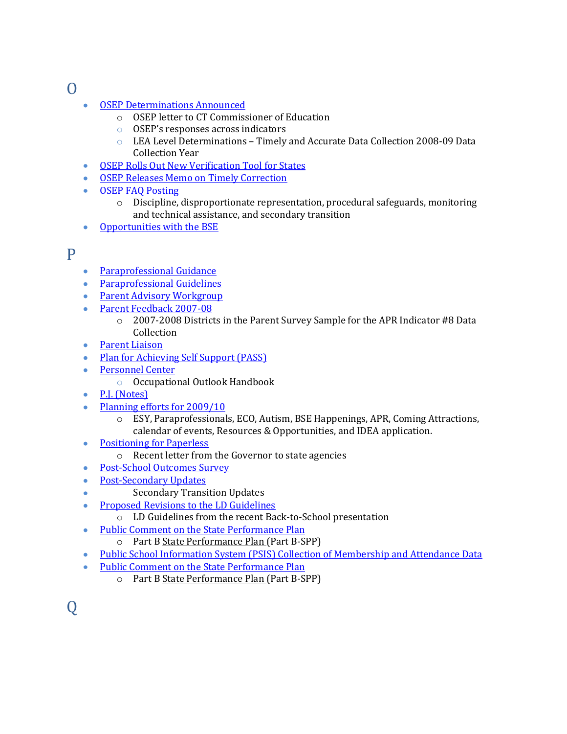<span id="page-7-0"></span> $\Omega$ 

- [OSEP Determinations Announced](http://www.sde.ct.gov/sde/lib/sde/PDF/DEPS/Special/Updates/BulletinSummer2008.pdf)
	- o OSEP letter to CT Commissioner of Education
	- o OSEP's responses across indicators
	- o LEA Level Determinations Timely and Accurate Data Collection 2008-09 Data Collection Year
- [OSEP Rolls Out New Verification Tool for States](http://www.sde.ct.gov/sde/lib/sde/PDF/DEPS/Special/Updates/BulletinOctober2009.pdf)
- [OSEP Releases Memo on Timely Correction](http://www.sde.ct.gov/sde/lib/sde/PDF/DEPS/Special/Updates/BulletinOctober2008.pdf)
- [OSEP FAQ Posting](http://www.sde.ct.gov/sde/lib/sde/PDF/DEPS/Special/Updates/BulletinOctober2009.pdf)
	- $\circ$  Discipline, disproportionate representation, procedural safeguards, monitoring and technical assistance, and secondary transition
- [Opportunities with the BSE](http://www.sde.ct.gov/sde/lib/sde/PDF/DEPS/Special/Updates/BulletinSummer2008.pdf)  $\bullet$

#### <span id="page-7-1"></span>P

<span id="page-7-3"></span><span id="page-7-2"></span> $\overline{O}$ 

- $\bullet$ [Paraprofessional Guidance](http://www.sde.ct.gov/sde/lib/sde/PDF/DEPS/Special/Updates/BulletinApril2009.pdf)
- [Paraprofessional Guidelines](http://www.sde.ct.gov/sde/lib/sde/PDF/DEPS/Special/Updates/BulletinSummer2008.pdf)
- [Parent Advisory Workgroup](http://www.sde.ct.gov/sde/lib/sde/PDF/DEPS/Special/Updates/BulletinMayJune2009.pdf)
- [Parent Feedback 2007-08](http://www.sde.ct.gov/sde/lib/sde/PDF/DEPS/Special/Updates/BulletinSummer2008.pdf)
	- o 2007-2008 Districts in the Parent Survey Sample for the APR Indicator #8 Data Collection
- [Parent Liaison](http://www.sde.ct.gov/sde/lib/sde/PDF/DEPS/Special/Updates/BulletinSpring2010.pdf)
- [Plan for Achieving Self Support \(PASS\)](http://www.sde.ct.gov/sde/lib/sde/PDF/DEPS/Special/Updates/BulletinNovDec2009.pdf)
- [Personnel Center](http://www.sde.ct.gov/sde/lib/sde/PDF/DEPS/Special/Updates/BulletinJanuary2009.pdf)  $\bullet$ 
	- o Occupational Outlook Handbook
- [P.J. \(Notes\)](http://www.sde.ct.gov/sde/lib/sde/PDF/DEPS/Special/Updates/BulletinOctober2009.pdf)
- [Planning efforts for 2009/10](http://www.sde.ct.gov/sde/lib/sde/PDF/DEPS/Special/Updates/BulletinApril2009.pdf)
	- o ESY, Paraprofessionals, ECO, Autism, BSE Happenings, APR, Coming Attractions, calendar of events, Resources & Opportunities, and IDEA application.
- [Positioning for Paperless](http://www.sde.ct.gov/sde/lib/sde/PDF/DEPS/Special/Updates/BulletinMayJune2009.pdf)  $\bullet$ 
	- o Recent letter from the Governor to state agencies
- [Post-School Outcomes Survey](http://www.sde.ct.gov/sde/lib/sde/PDF/DEPS/Special/Updates/BulletinMarch2009.pdf)  $\bullet$
- Post‐[Secondary Updates](http://www.sde.ct.gov/sde/lib/sde/PDF/DEPS/Special/Updates/BulletinSummer2008.pdf)  $\bullet$
- Secondary Transition Updates
- [Proposed Revisions to the LD Guidelines](http://www.sde.ct.gov/sde/lib/sde/PDF/DEPS/Special/Updates/BulletinSeptember2008.pdf)  $\bullet$ 
	- o LD Guidelines from the recent Back‐to‐School presentation
- [Public Comment on the State Performance Plan](http://www.sde.ct.gov/sde/lib/sde/PDF/DEPS/Special/Updates/BulletinOctober2008.pdf)  $\bullet$ 
	- o Part B State Performance Plan (Part B‐SPP)
- [Public School Information System \(PSIS\) Collection of Membership and Attendance Data](http://www.sde.ct.gov/sde/lib/sde/PDF/DEPS/Special/Updates/BulletinSpring2010.pdf)
- [Public Comment on the State Performance Plan](http://www.sde.ct.gov/sde/lib/sde/PDF/DEPS/Special/Updates/BulletinOctober2008.pdf)
	- o Part B State Performance Plan (Part B‐SPP)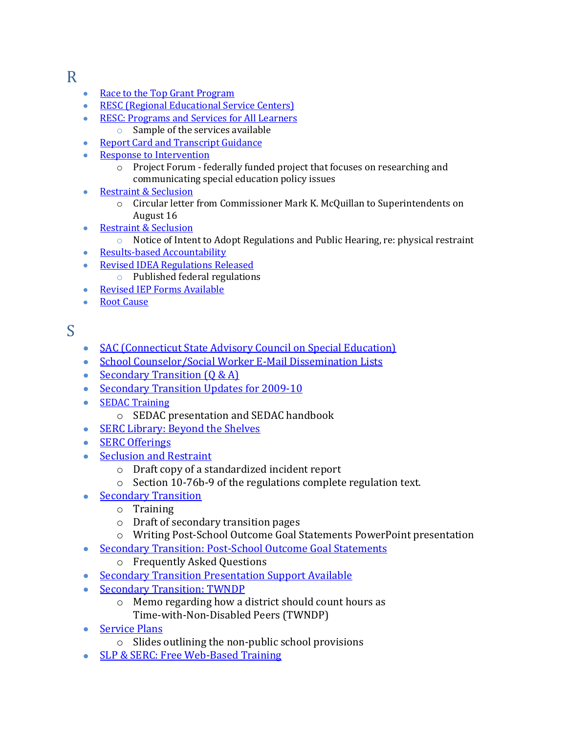## R

- $\bullet$ [Race to the Top Grant Program](http://www.sde.ct.gov/sde/lib/sde/PDF/DEPS/Special/Updates/BulletinNovDec2009.pdf)
- **[RESC \(Regional Educational Service Centers\)](http://www.sde.ct.gov/sde/lib/sde/PDF/DEPS/Special/Updates/BulletinOctober2008.pdf)**
- [RESC: Programs and Services for All Learners](http://www.sde.ct.gov/sde/lib/sde/PDF/DEPS/Special/Updates/BulletinNovember2008.pdf)
	- o Sample of the services available
- [Report Card and Transcript Guidance](http://www.sde.ct.gov/sde/lib/sde/PDF/DEPS/Special/Updates/BulletinNovember2008.pdf)
- [Response to Intervention](http://www.sde.ct.gov/sde/lib/sde/PDF/DEPS/Special/Updates/BulletinSeptember2008.pdf)
	- o Project Forum federally funded project that focuses on researching and communicating special education policy issues
- [Restraint & Seclusion](http://www.sde.ct.gov/sde/lib/sde/PDF/DEPS/Special/Updates/BulletinMarch2009.pdf)  $\bullet$ 
	- o Circular letter from Commissioner Mark K. McQuillan to Superintendents on August 16
- [Restraint & Seclusion](http://www.sde.ct.gov/sde/lib/sde/PDF/DEPS/Special/Updates/BulletinSummer2008.pdf)
	- o Notice of Intent to Adopt Regulations and Public Hearing, re: physical restraint
- Results-[based Accountability](http://www.sde.ct.gov/sde/lib/sde/PDF/DEPS/Special/Updates/BulletinOctober2008.pdf)
- **[Revised IDEA Regulations Released](http://www.sde.ct.gov/sde/lib/sde/PDF/DEPS/Special/Updates/BulletinJanuary2009.pdf)** 
	- o Published federal regulations
- [Revised IEP Forms Available](http://www.sde.ct.gov/sde/lib/sde/PDF/DEPS/Special/Updates/BulletinFebruary2009.pdf)
- Root Cause

## <span id="page-8-0"></span>S

- [SAC \(Connecticut State Advisory Council on Special Education\)](http://www.sde.ct.gov/sde/lib/sde/PDF/DEPS/Special/Updates/BulletinOctober2009.pdf)
- [School Counselor/Social Worker E-Mail Dissemination Lists](http://www.sde.ct.gov/sde/lib/sde/PDF/DEPS/Special/Updates/BulletinSpring2010.pdf)
- Secondary Transition  $(Q & A)$
- [Secondary Transition Updates for 2009-10](http://www.sde.ct.gov/sde/lib/sde/PDF/DEPS/Special/Updates/BulletinSeptember2009.pdf)
- [SEDAC Training](http://www.sde.ct.gov/sde/lib/sde/PDF/DEPS/Special/Updates/BulletinSeptember2008.pdf)
	- o SEDAC presentation and SEDAC handbook
- [SERC Library: Beyond the Shelves](http://www.sde.ct.gov/sde/lib/sde/PDF/DEPS/Special/Updates/BulletinNovember2008.pdf)
- [SERC Offerings](http://www.sde.ct.gov/sde/lib/sde/PDF/DEPS/Special/Updates/BulletinSeptember2008.pdf)
- [Seclusion and Restraint](http://www.sde.ct.gov/sde/lib/sde/PDF/DEPS/Special/Updates/BulletinMayJune2009.pdf)
	- o Draft copy of a standardized incident report
	- o Section 10-76b-9 of the regulations complete regulation text.
- [Secondary Transition](http://www.sde.ct.gov/sde/lib/sde/PDF/DEPS/Special/Updates/BulletinOctober2008.pdf)
	- o Training
	- o Draft of secondary transition pages
	- o Writing Post-School Outcome Goal Statements PowerPoint presentation
- [Secondary Transition: Post-School Outcome Goal Statements](http://www.sde.ct.gov/sde/lib/sde/PDF/DEPS/Special/Updates/BulletinMarch2009.pdf)
	- o Frequently Asked Questions
- [Secondary Transition Presentation Support Available](http://www.sde.ct.gov/sde/lib/sde/PDF/DEPS/Special/Updates/BulletinNovember2008.pdf)
- [Secondary Transition: TWNDP](http://www.sde.ct.gov/sde/lib/sde/PDF/DEPS/Special/Updates/BulletinNovember2008.pdf)
	- o Memo regarding how a district should count hours as Time‐with‐Non‐Disabled Peers (TWNDP)
- [Service Plans](http://www.sde.ct.gov/sde/lib/sde/PDF/DEPS/Special/Updates/BulletinOctober2008.pdf)
	- o Slides outlining the non‐public school provisions
- [SLP & SERC: Free Web-Based Training](http://www.sde.ct.gov/sde/lib/sde/PDF/DEPS/Special/Updates/BulletinApril2009.pdf)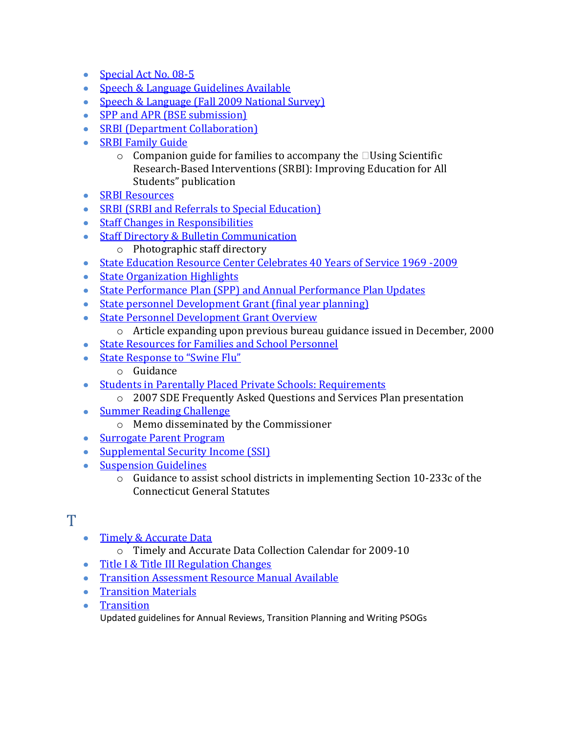- [Special Act No. 08](http://www.sde.ct.gov/sde/lib/sde/PDF/DEPS/Special/Updates/BulletinOctober2008.pdf)-5
- [Speech & Language Guidelines Available](http://www.sde.ct.gov/sde/lib/sde/PDF/DEPS/Special/Updates/BulletinSeptember2008.pdf)
- [Speech & Language \(Fall 2009 National Survey\)](http://www.sde.ct.gov/sde/lib/sde/PDF/DEPS/Special/Updates/BulletinSeptember2009.pdf)
- [SPP and APR \(BSE submission\)](http://www.sde.ct.gov/sde/lib/sde/PDF/DEPS/Special/Updates/BulletinSpring2010.pdf)
- [SRBI \(Department Collaboration\)](http://www.sde.ct.gov/sde/lib/sde/PDF/DEPS/Special/Updates/BulletinNovDec2009.pdf)
- [SRBI Family Guide](http://www.sde.ct.gov/sde/lib/sde/PDF/DEPS/Special/Updates/BulletinOctober2008.pdf)
	- $\circ$  Companion guide for families to accompany the  $\Box$ Using Scientific Research‐Based Interventions (SRBI): Improving Education for All Students" publication
- [SRBI Resources](http://www.sde.ct.gov/sde/lib/sde/PDF/DEPS/Special/Updates/BulletinSpring2010.pdf)
- [SRBI \(SRBI and Referrals to Special Education\)](http://www.sde.ct.gov/sde/lib/sde/PDF/DEPS/Special/Updates/BulletinSpring2010.pdf)
- [Staff Changes in Responsibilities](http://www.sde.ct.gov/sde/lib/sde/PDF/DEPS/Special/Updates/BulletinSummer2008.pdf)
- [Staff Directory & Bulletin Communication](http://www.sde.ct.gov/sde/lib/sde/PDF/DEPS/Special/Updates/BulletinSeptember2008.pdf)
	- o Photographic staff directory
- [State Education Resource Center Celebrates 40 Years of Service 1969](http://www.sde.ct.gov/sde/lib/sde/PDF/DEPS/Special/Updates/BulletinMayJune2009.pdf) -2009
- [State Organization Highlights](http://www.sde.ct.gov/sde/lib/sde/PDF/DEPS/Special/Updates/BulletinOctober2008.pdf)
- [State Performance Plan \(SPP\) and Annual Performance Plan Updates](http://www.sde.ct.gov/sde/lib/sde/PDF/DEPS/Special/Updates/BulletinMayJune2009.pdf)
- [State personnel Development Grant \(final year planning\)](http://www.sde.ct.gov/sde/lib/sde/PDF/DEPS/Special/Updates/BulletinSpring2010.pdf)
- [State Personnel Development Grant Overview](http://www.sde.ct.gov/sde/lib/sde/PDF/DEPS/Special/Updates/BulletinNovember2008.pdf)
	- o Article expanding upon previous bureau guidance issued in December, 2000
- [State Resources for Families and School Personnel](http://www.sde.ct.gov/sde/lib/sde/PDF/DEPS/Special/Updates/BulletinSummer2008.pdf)
- [State Response to "Swine Flu"](http://www.sde.ct.gov/sde/lib/sde/PDF/DEPS/Special/Updates/BulletinApril2009.pdf) 
	- o Guidance
- [Students in Parentally Placed Private Schools: Requirements](http://www.sde.ct.gov/sde/lib/sde/PDF/DEPS/Special/Updates/BulletinNovember2008.pdf)
	- o 2007 SDE Frequently Asked Questions and Services Plan presentation
- [Summer Reading Challenge](http://www.sde.ct.gov/sde/lib/sde/PDF/DEPS/Special/Updates/BulletinMayJune2009.pdf)
	- o Memo disseminated by the Commissioner
- [Surrogate Parent Program](http://www.sde.ct.gov/sde/lib/sde/PDF/DEPS/Special/Updates/BulletinNovember2008.pdf)
- [Supplemental Security Income \(SSI\)](http://www.sde.ct.gov/sde/lib/sde/PDF/DEPS/Special/Updates/BulletinNovDec2009.pdf)
- [Suspension Guidelines](http://www.sde.ct.gov/sde/lib/sde/PDF/DEPS/Special/Updates/BulletinOctober2008.pdf)
	- o Guidance to assist school districts in implementing Section 10‐233c of the Connecticut General Statutes

## <span id="page-9-0"></span> $\mathbf T$

- [Timely & Accurate Data](http://www.sde.ct.gov/sde/lib/sde/PDF/DEPS/Special/Updates/BulletinMayJune2009.pdf)
	- o Timely and Accurate Data Collection Calendar for 2009‐10
- [Title I & Title III Regulation Changes](http://www.sde.ct.gov/sde/lib/sde/PDF/DEPS/Special/Updates/BulletinFebruary2009.pdf)
- **[Transition Assessment Resource Manual Available](http://www.sde.ct.gov/sde/lib/sde/PDF/DEPS/Special/Updates/BulletinNovember2008.pdf)**
- **•** [Transition Materials](http://www.sde.ct.gov/sde/lib/sde/PDF/DEPS/Special/Updates/BulletinMayJune2009.pdf)
- **•** [Transition](http://www.sde.ct.gov/sde/lib/sde/PDF/DEPS/Special/Updates/BulletinSpring2010.pdf) Updated guidelines for Annual Reviews, Transition Planning and Writing PSOGs